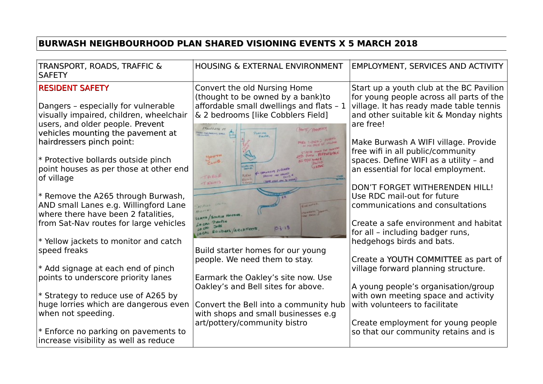## **BURWASH NEIGHBOURHOOD PLAN SHARED VISIONING EVENTS X 5 MARCH 2018**

| TRANSPORT, ROADS, TRAFFIC &<br><b>SAFETY</b>                                                                                                            | <b>HOUSING &amp; EXTERNAL ENVIRONMENT</b>                                                                                     | EMPLOYMENT, SERVICES AND ACTIVITY                                                                 |
|---------------------------------------------------------------------------------------------------------------------------------------------------------|-------------------------------------------------------------------------------------------------------------------------------|---------------------------------------------------------------------------------------------------|
| <b>RESIDENT SAFETY</b>                                                                                                                                  | Convert the old Nursing Home<br>(thought to be owned by a bank)to                                                             | Start up a youth club at the BC Pavilion<br>for young people across all parts of the              |
| Dangers - especially for vulnerable<br>visually impaired, children, wheelchair<br>users, and older people. Prevent<br>vehicles mounting the pavement at | affordable small dwellings and flats - 1<br>& 2 bedrooms [like Cobblers Field]<br>STONEGATE ST<br>SWE COMPANY SPEC<br>PIEARS, | village. It has ready made table tennis<br>and other suitable kit & Monday nights<br>are free!    |
| hairdressers pinch point:                                                                                                                               |                                                                                                                               | Make Burwash A WIFI village. Provide<br>free wifi in all public/community                         |
| * Protective bollards outside pinch<br>point houses as per those at other end<br>of village                                                             | <b>HOUTH</b><br>CLUB.<br>SPARNING BUSINESS<br>TABLE<br><b>NGH</b>                                                             | spaces. Define WIFI as a utility - and<br>an essential for local employment.                      |
| * Remove the A265 through Burwash,<br>AND small Lanes e.g. Willingford Lane<br>where there have been 2 fatalities,                                      | T F1115                                                                                                                       | DON'T FORGET WITHERENDEN HILL!<br>Use RDC mail-out for future<br>communications and consultations |
| from Sat-Nav routes for large vehicles                                                                                                                  | 700016<br>LOCAL<br>0.3.13<br>LO CAL<br>LOCAL BUILDERS ARCHITECTS                                                              | Create a safe environment and habitat<br>for all - including badger runs,                         |
| * Yellow jackets to monitor and catch<br>speed freaks                                                                                                   | Build starter homes for our young                                                                                             | hedgehogs birds and bats.                                                                         |
| * Add signage at each end of pinch                                                                                                                      | people. We need them to stay.                                                                                                 | Create a YOUTH COMMITTEE as part of<br>village forward planning structure.                        |
| points to underscore priority lanes                                                                                                                     | Earmark the Oakley's site now. Use<br>Oakley's and Bell sites for above.                                                      | A young people's organisation/group                                                               |
| * Strategy to reduce use of A265 by<br>huge lorries which are dangerous even<br>when not speeding.                                                      | Convert the Bell into a community hub<br>with shops and small businesses e.g                                                  | with own meeting space and activity<br>with volunteers to facilitate                              |
| * Enforce no parking on pavements to<br>increase visibility as well as reduce                                                                           | art/pottery/community bistro                                                                                                  | Create employment for young people<br>so that our community retains and is                        |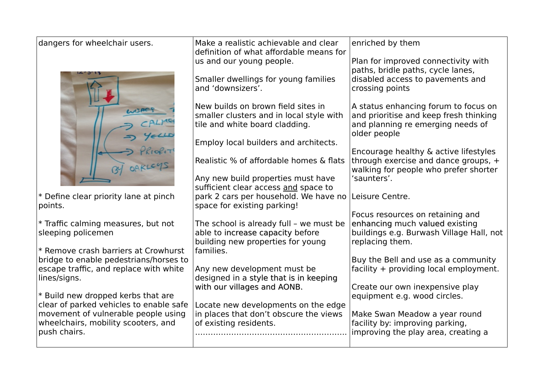| dangers for wheelchair users.                                                  | Make a realistic achievable and clear<br>definition of what affordable means for                                 | enriched by them                                                                                                                    |
|--------------------------------------------------------------------------------|------------------------------------------------------------------------------------------------------------------|-------------------------------------------------------------------------------------------------------------------------------------|
|                                                                                | us and our young people.                                                                                         | Plan for improved connectivity with                                                                                                 |
|                                                                                | Smaller dwellings for young families<br>and 'downsizers'.                                                        | paths, bridle paths, cycle lanes,<br>disabled access to pavements and<br>crossing points                                            |
|                                                                                | New builds on brown field sites in<br>smaller clusters and in local style with<br>tile and white board cladding. | A status enhancing forum to focus on<br>and prioritise and keep fresh thinking<br>and planning re emerging needs of<br>older people |
|                                                                                | Employ local builders and architects.                                                                            |                                                                                                                                     |
|                                                                                | Realistic % of affordable homes & flats                                                                          | Encourage healthy & active lifestyles<br>through exercise and dance groups, +<br>walking for people who prefer shorter              |
|                                                                                | Any new build properties must have                                                                               | 'saunters'.                                                                                                                         |
|                                                                                | sufficient clear access and space to                                                                             |                                                                                                                                     |
| * Define clear priority lane at pinch<br>points.                               | park 2 cars per household. We have no Leisure Centre.<br>space for existing parking!                             |                                                                                                                                     |
|                                                                                |                                                                                                                  | Focus resources on retaining and                                                                                                    |
| * Traffic calming measures, but not                                            | The school is already full - we must be                                                                          | enhancing much valued existing                                                                                                      |
| sleeping policemen                                                             | able to increase capacity before<br>building new properties for young                                            | buildings e.g. Burwash Village Hall, not<br>replacing them.                                                                         |
| * Remove crash barriers at Crowhurst                                           | families.                                                                                                        |                                                                                                                                     |
| bridge to enable pedestrians/horses to                                         |                                                                                                                  | Buy the Bell and use as a community                                                                                                 |
| escape traffic, and replace with white<br>lines/signs.                         | Any new development must be<br>designed in a style that is in keeping                                            | facility + providing local employment.                                                                                              |
|                                                                                | with our villages and AONB.                                                                                      | Create our own inexpensive play                                                                                                     |
| * Build new dropped kerbs that are                                             |                                                                                                                  | equipment e.g. wood circles.                                                                                                        |
| clear of parked vehicles to enable safe<br>movement of vulnerable people using | Locate new developments on the edge<br>in places that don't obscure the views                                    | Make Swan Meadow a year round                                                                                                       |
| wheelchairs, mobility scooters, and                                            | of existing residents.                                                                                           | facility by: improving parking,                                                                                                     |
| push chairs.                                                                   |                                                                                                                  | improving the play area, creating a                                                                                                 |
|                                                                                |                                                                                                                  |                                                                                                                                     |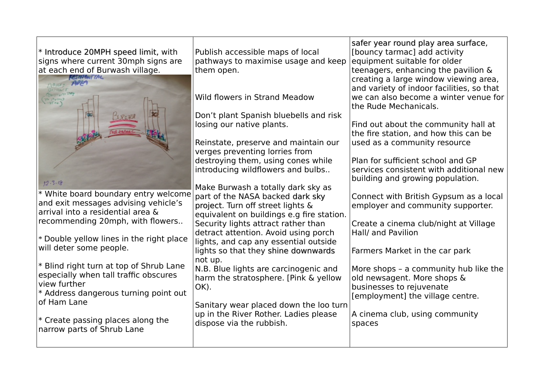| * Introduce 20MPH speed limit, with<br>signs where current 30mph signs are<br>at each end of Burwash village. | Publish accessible maps of local<br>pathways to maximise usage and keep<br>them open. | safer year round play area surface,<br>[bouncy tarmac] add activity<br>equipment suitable for older<br>teenagers, enhancing the pavilion &<br>creating a large window viewing area,<br>and variety of indoor facilities, so that |
|---------------------------------------------------------------------------------------------------------------|---------------------------------------------------------------------------------------|----------------------------------------------------------------------------------------------------------------------------------------------------------------------------------------------------------------------------------|
|                                                                                                               | <b>Wild flowers in Strand Meadow</b>                                                  | we can also become a winter venue for<br>the Rude Mechanicals.                                                                                                                                                                   |
|                                                                                                               | Don't plant Spanish bluebells and risk<br>losing our native plants.                   | Find out about the community hall at                                                                                                                                                                                             |
|                                                                                                               |                                                                                       | the fire station, and how this can be                                                                                                                                                                                            |
|                                                                                                               | Reinstate, preserve and maintain our<br>verges preventing lorries from                | used as a community resource                                                                                                                                                                                                     |
|                                                                                                               | destroying them, using cones while                                                    | Plan for sufficient school and GP                                                                                                                                                                                                |
|                                                                                                               | introducing wildflowers and bulbs                                                     | services consistent with additional new<br>building and growing population.                                                                                                                                                      |
| 12.3.18                                                                                                       | Make Burwash a totally dark sky as                                                    |                                                                                                                                                                                                                                  |
| * White board boundary entry welcome<br>and exit messages advising vehicle's                                  | part of the NASA backed dark sky<br>project. Turn off street lights &                 | Connect with British Gypsum as a local<br>employer and community supporter.                                                                                                                                                      |
| arrival into a residential area &                                                                             | equivalent on buildings e.g fire station.                                             |                                                                                                                                                                                                                                  |
| recommending 20mph, with flowers                                                                              | Security lights attract rather than<br>detract attention. Avoid using porch           | Create a cinema club/night at Village<br>Hall/ and Pavilion                                                                                                                                                                      |
| * Double yellow lines in the right place                                                                      | lights, and cap any essential outside                                                 |                                                                                                                                                                                                                                  |
| will deter some people.                                                                                       | lights so that they shine downwards<br>not up.                                        | Farmers Market in the car park                                                                                                                                                                                                   |
| * Blind right turn at top of Shrub Lane<br>especially when tall traffic obscures                              | N.B. Blue lights are carcinogenic and                                                 | More shops - a community hub like the                                                                                                                                                                                            |
| view further                                                                                                  | harm the stratosphere. [Pink & yellow<br>OK).                                         | old newsagent. More shops &<br>businesses to rejuvenate                                                                                                                                                                          |
| * Address dangerous turning point out<br>of Ham Lane                                                          |                                                                                       | [employment] the village centre.                                                                                                                                                                                                 |
|                                                                                                               | Sanitary wear placed down the loo turn<br>up in the River Rother. Ladies please       | A cinema club, using community                                                                                                                                                                                                   |
| * Create passing places along the<br>narrow parts of Shrub Lane                                               | dispose via the rubbish.                                                              | spaces                                                                                                                                                                                                                           |
|                                                                                                               |                                                                                       |                                                                                                                                                                                                                                  |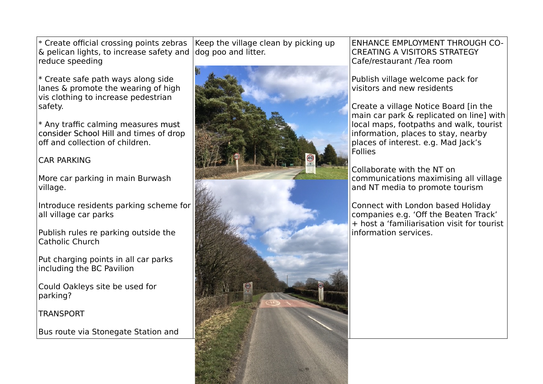$*$  Create official crossing points zebras & pelican lights, to increase safety and reduce speeding

 $*$  Create safe path ways along side lanes & promote the wearing of high vis clothing to increase pedestrian safety.

 $*$  Any traffic calming measures must consider School Hill and times of drop of and collection of children.

## CAR PARKING

More car parking in main Burwash village.

Introduce residents parking scheme for all village car parks

Publish rules re parking outside the Catholic Church

Put charging points in all car parks including the BC Pavilion

Could Oakleys site be used for parking?

**TRANSPORT** 

Bus route via Stonegate Station and

Keep the village clean by picking up dog poo and litter.



ENHANCE EMPLOYMENT THROUGH CO-CREATING A VISITORS STRATEGY Cafe/restaurant /Tea room

Publish village welcome pack for visitors and new residents

Create a village Notice Board [in the main car park & replicated on line] with local maps, footpaths and walk, tourist information, places to stay, nearby places of interest. e.g. Mad Jack's Follies

Collaborate with the NT on communications maximising all village and NT media to promote tourism

Connect with London based Holiday companies e.g. 'Off the Beaten Track' + host a 'familiarisation visit for tourist information services.